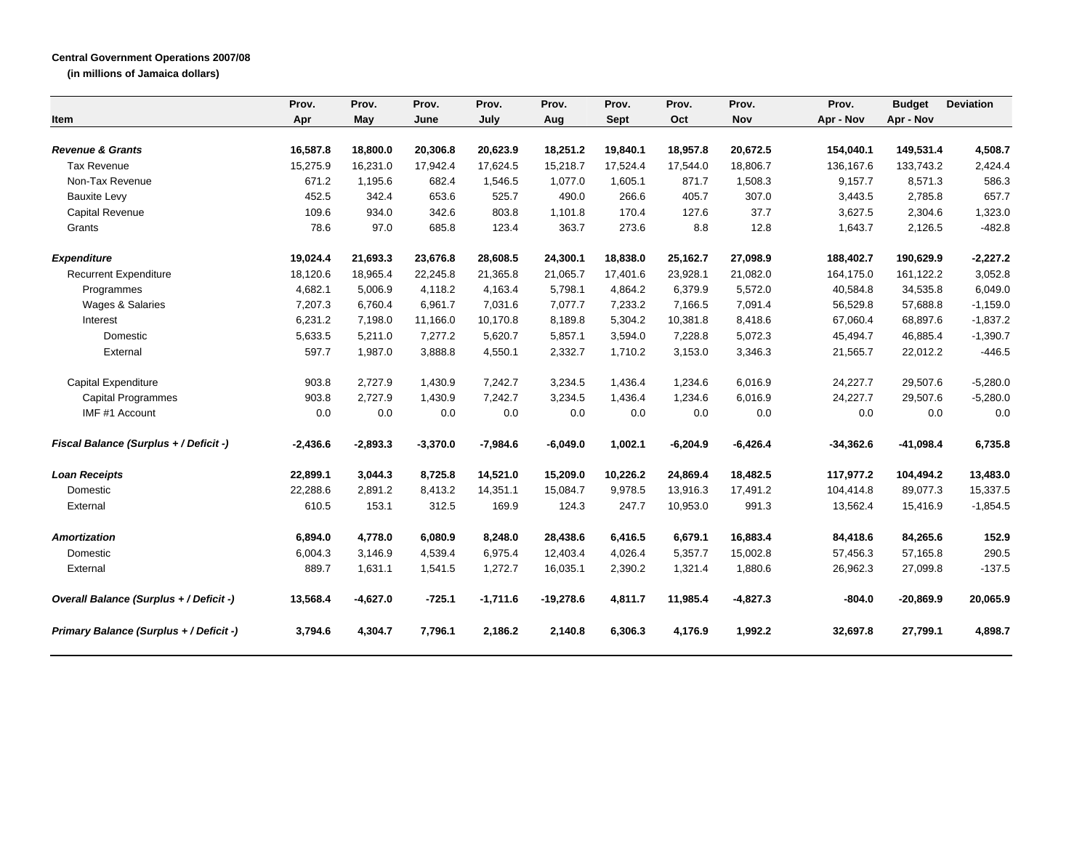## **Central Government Operations 2007/08**

**(in millions of Jamaica dollars)**

|                                         | Prov.      | Prov.      | Prov.      | Prov.      | Prov.       | Prov.       | Prov.      | Prov.      | Prov.       | <b>Budget</b> | <b>Deviation</b> |
|-----------------------------------------|------------|------------|------------|------------|-------------|-------------|------------|------------|-------------|---------------|------------------|
| Item                                    | Apr        | May        | June       | July       | Aug         | <b>Sept</b> | Oct        | Nov        | Apr - Nov   | Apr - Nov     |                  |
| <b>Revenue &amp; Grants</b>             | 16,587.8   | 18,800.0   | 20,306.8   | 20,623.9   | 18,251.2    | 19,840.1    | 18,957.8   | 20,672.5   | 154,040.1   | 149,531.4     | 4,508.7          |
| <b>Tax Revenue</b>                      | 15,275.9   | 16,231.0   | 17,942.4   | 17,624.5   | 15,218.7    | 17,524.4    | 17,544.0   | 18,806.7   | 136,167.6   | 133,743.2     | 2,424.4          |
| Non-Tax Revenue                         | 671.2      | 1,195.6    | 682.4      | 1,546.5    | 1,077.0     | 1,605.1     | 871.7      | 1,508.3    | 9,157.7     | 8,571.3       | 586.3            |
| <b>Bauxite Levy</b>                     | 452.5      | 342.4      | 653.6      | 525.7      | 490.0       | 266.6       | 405.7      | 307.0      | 3,443.5     | 2,785.8       | 657.7            |
| <b>Capital Revenue</b>                  | 109.6      | 934.0      | 342.6      | 803.8      | 1,101.8     | 170.4       | 127.6      | 37.7       | 3,627.5     | 2,304.6       | 1,323.0          |
| Grants                                  | 78.6       | 97.0       | 685.8      | 123.4      | 363.7       | 273.6       | 8.8        | 12.8       | 1,643.7     | 2,126.5       | $-482.8$         |
| <b>Expenditure</b>                      | 19,024.4   | 21,693.3   | 23,676.8   | 28,608.5   | 24,300.1    | 18,838.0    | 25,162.7   | 27,098.9   | 188,402.7   | 190,629.9     | $-2,227.2$       |
| <b>Recurrent Expenditure</b>            | 18,120.6   | 18,965.4   | 22,245.8   | 21,365.8   | 21,065.7    | 17,401.6    | 23,928.1   | 21,082.0   | 164,175.0   | 161,122.2     | 3,052.8          |
| Programmes                              | 4,682.1    | 5,006.9    | 4,118.2    | 4,163.4    | 5,798.1     | 4,864.2     | 6,379.9    | 5,572.0    | 40,584.8    | 34,535.8      | 6,049.0          |
| Wages & Salaries                        | 7,207.3    | 6,760.4    | 6,961.7    | 7,031.6    | 7,077.7     | 7,233.2     | 7,166.5    | 7,091.4    | 56,529.8    | 57,688.8      | $-1,159.0$       |
| Interest                                | 6,231.2    | 7,198.0    | 11,166.0   | 10,170.8   | 8,189.8     | 5,304.2     | 10,381.8   | 8,418.6    | 67,060.4    | 68,897.6      | $-1,837.2$       |
| Domestic                                | 5,633.5    | 5,211.0    | 7,277.2    | 5,620.7    | 5,857.1     | 3,594.0     | 7,228.8    | 5,072.3    | 45,494.7    | 46,885.4      | $-1,390.7$       |
| External                                | 597.7      | 1,987.0    | 3,888.8    | 4,550.1    | 2,332.7     | 1,710.2     | 3,153.0    | 3,346.3    | 21,565.7    | 22,012.2      | $-446.5$         |
| <b>Capital Expenditure</b>              | 903.8      | 2,727.9    | 1,430.9    | 7,242.7    | 3,234.5     | 1,436.4     | 1,234.6    | 6,016.9    | 24,227.7    | 29,507.6      | $-5,280.0$       |
| <b>Capital Programmes</b>               | 903.8      | 2,727.9    | 1,430.9    | 7,242.7    | 3,234.5     | 1,436.4     | 1,234.6    | 6,016.9    | 24,227.7    | 29,507.6      | $-5,280.0$       |
| IMF #1 Account                          | 0.0        | 0.0        | 0.0        | 0.0        | 0.0         | 0.0         | 0.0        | 0.0        | 0.0         | 0.0           | 0.0              |
| Fiscal Balance (Surplus + / Deficit -)  | $-2,436.6$ | $-2,893.3$ | $-3,370.0$ | $-7,984.6$ | $-6,049.0$  | 1,002.1     | $-6,204.9$ | $-6,426.4$ | $-34,362.6$ | $-41,098.4$   | 6,735.8          |
| <b>Loan Receipts</b>                    | 22,899.1   | 3.044.3    | 8,725.8    | 14,521.0   | 15.209.0    | 10,226.2    | 24.869.4   | 18.482.5   | 117.977.2   | 104,494.2     | 13,483.0         |
| Domestic                                | 22,288.6   | 2,891.2    | 8,413.2    | 14,351.1   | 15,084.7    | 9,978.5     | 13,916.3   | 17,491.2   | 104,414.8   | 89,077.3      | 15,337.5         |
| External                                | 610.5      | 153.1      | 312.5      | 169.9      | 124.3       | 247.7       | 10,953.0   | 991.3      | 13,562.4    | 15,416.9      | $-1,854.5$       |
| <b>Amortization</b>                     | 6,894.0    | 4,778.0    | 6,080.9    | 8,248.0    | 28,438.6    | 6,416.5     | 6,679.1    | 16,883.4   | 84,418.6    | 84,265.6      | 152.9            |
| Domestic                                | 6,004.3    | 3,146.9    | 4,539.4    | 6,975.4    | 12,403.4    | 4,026.4     | 5,357.7    | 15,002.8   | 57,456.3    | 57,165.8      | 290.5            |
| External                                | 889.7      | 1,631.1    | 1,541.5    | 1,272.7    | 16,035.1    | 2,390.2     | 1,321.4    | 1,880.6    | 26,962.3    | 27,099.8      | $-137.5$         |
| Overall Balance (Surplus + / Deficit -) | 13,568.4   | $-4,627.0$ | $-725.1$   | $-1,711.6$ | $-19,278.6$ | 4,811.7     | 11,985.4   | $-4,827.3$ | $-804.0$    | $-20,869.9$   | 20.065.9         |
| Primary Balance (Surplus + / Deficit -) | 3,794.6    | 4,304.7    | 7,796.1    | 2,186.2    | 2,140.8     | 6,306.3     | 4,176.9    | 1,992.2    | 32,697.8    | 27,799.1      | 4,898.7          |